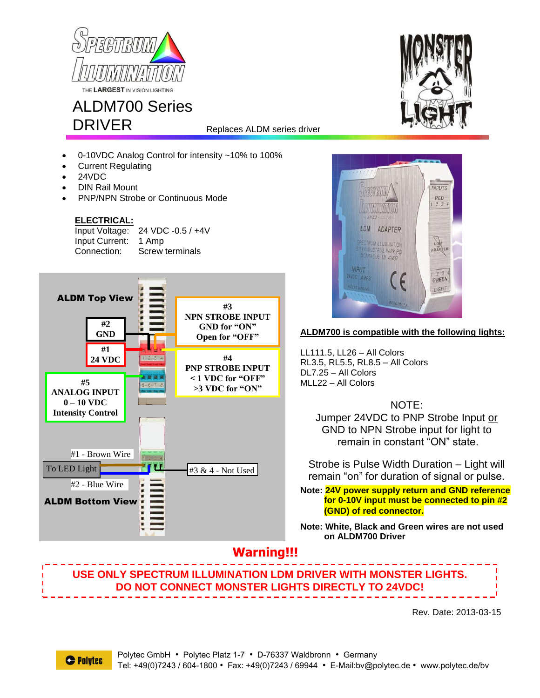

## ALDM700 Series DRIVER

Replaces ALDM series driver

- 0-10VDC Analog Control for intensity ~10% to 100%
- Current Regulating
- 24VDC
- DIN Rail Mount
- PNP/NPN Strobe or Continuous Mode

#### **ELECTRICAL:**

Input Voltage: 24 VDC -0.5 / +4V Input Current: 1 Amp Connection: Screw terminals





### **ALDM700 is compatible with the following lights:**

LL111.5, LL26 – All Colors RL3.5, RL5.5, RL8.5 – All Colors DL7.25 – All Colors MLL22 – All Colors

NOTE:

Jumper 24VDC to PNP Strobe Input or GND to NPN Strobe input for light to remain in constant "ON" state.

Strobe is Pulse Width Duration – Light will remain "on" for duration of signal or pulse.

**Note: 24V power supply return and GND reference for 0-10V input must be connected to pin #2 (GND) of red connector.**

**Note: White, Black and Green wires are not used on ALDM700 Driver**

## **Warning!!!**

**USE ONLY SPECTRUM ILLUMINATION LDM DRIVER WITH MONSTER LIGHTS. DO NOT CONNECT MONSTER LIGHTS DIRECTLY TO 24VDC!**

Rev. Date: 2013-03-15